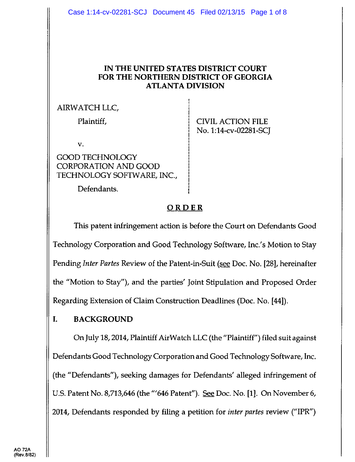#### IN THE UNITED STATES DISTRICT COURT FORTHE NORTHERN DISTRICT OF GEORGIA **ATLANTA DIVISION**

#### AIRWATCH LLC,

Plaintiff,

CIVIL ACTION FILE No. 1:14-cv-02281-SCT

V.

GOOD TECHNOLOGY CORPORATION AND GOOD TECHNOLOGY SOFTWARE, INC.,

Defendants.

# **ORDER**

This patent infringement action is before the Court on Defendants Good Technology Corporation and Good Technology Software, Inc.'s Motion to Stay Pending Inter Partes Review of the Patent-in-Suit (see Doc. No. [28], hereinafter the "Mofion to Stay"), and the parties' Joint Stipulation and Proposed Order Regarding Extension of Claim Construction Deadlines (Doc. No. [aa]).

# I. BACKGROUND

OnJuly 18,2014, Plaintiff AirWatch LLC (the "Plaintiff") filed suit against Defendants Good Technology Corporation and Good Technology Software, Inc. (the "Defendants"), seeking damages for Defendants' alleged infringement of U.S. Patent No.8,713,646 (the"'646 Patent"). See Doc. No. [1]. On November 6, 2014, Defendants responded by filing a petition fot inter partes review ('IPR")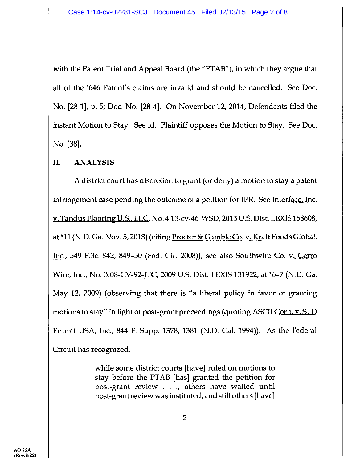with the Patent Trial and Appeal Board (the "PTAB"), in which they argue that all of the '646 Patent's claims are invalid and should be cancelled. See Doc. No. [28-1], p. 5; Doc. No. [28-4]. On November 12, 2014, Defendants filed the instant Motion to Stay. See id. Plaintiff opposes the Motion to Stay. See Doc. No. [38].

## il. ANALYSIS

A district court has discretion to grant (or deny) a motion to stay a patent infringement case pending the outcome of a petition for IPR. See Interface. Inc. v. Tandus Flooring U.S.. LLC. No. 4:13-cv-46-WSD, 2013 U.S. Dist. LEXIS 158608, at \*11 (N.D. Ga. Nov. 5, 2013) (citing Procter & Gamble Co. v. Kraft Foods Global. Inc., 549 F.3d 842,849-50 (Fed. Cir. 2008)); see also Southwire Co. v. Cerro Wire, Inc., No. 3:08-CV-92-JTC, 2009 U.S. Dist. LEXIS 131922, at \*6-7 (N.D. Ga. May 12,2009) (observing that there is "a liberal policy in favor of granting motions to stay" in light of post-grant proceedings (quoting ASCII Corp. v. STD Entm't USA, Inc., 844 F. Supp. 1378, 1381 (N.D. Cal. 1994)). As the Federal Circuit has recognized,

> while some district courts [have] ruled on motions to stay before the PTAB [has] granted the petition for post-grant review ., others have waited until post-grant review was instituted, and still others [have]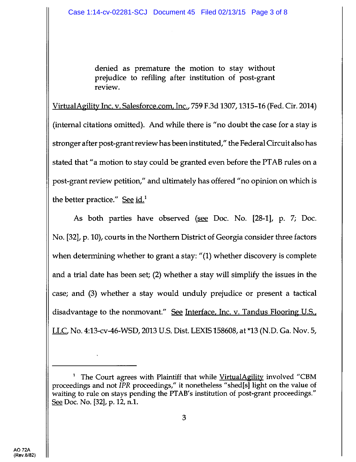denied as premature the motion to stay without prejudice to refiling after institution of post-grant review.

VirtualAgility Inc. v. Salesforce.com, Inc., 759 F.3d 1307, 1315-16 (Fed. Cir. 2014) (intemal citations omitted). And while there is "no doubt the case for a stay is stronger after post-grant review has been instifuted," the Federal Circuit also has stated that "a motion to stay could be granted even before the PTAB rules on a post-grant review petition," and ultimately has offered "no opinion on which is the better practice." See  $id.$ <sup>1</sup>

As both parties have observed (see Doc. No. [28-1], p. 7; Doc. No. [32], p. 10), courts in the Northem District of Georgia consider three factors when determining whether to grant a stay: "(1) whether discovery is complete and a trial date has been set; (2) whether a stay will simplify the issues in the case; and (3) whether a stay would unduly prejudice or present a tactical disadvantage to the nonmovant." See Interface, Inc. v. Tandus Flooring U.S., LLC, No. 4:13-cv-46-WSD, 2013 U.S. Dist. LEXIS 158608, at \*13 (N.D. Ga. Nov. 5,

<sup>&</sup>lt;sup>1</sup> The Court agrees with Plaintiff that while VirtualAgility involved "CBM proceedings and not  $IPR$  proceedings," it nonetheless "shed[s] light on the value of waiting to rule on stays pending the PTAB's institution of post-grant proceedings." See Doc. No. [32], p. 12, n.1.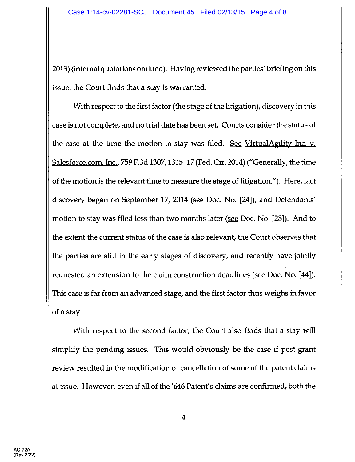2013) (intemal quotations omitted). Having reviewed the parties' briefing on this issue, the Court finds that a stay is warranted.

With respect to the first factor (the stage of the litigation), discovery in this case is not complete, and no trial date has been set. Courts consider the status of the case at the time the motion to stay was filed. See VirtualAgility Inc. v. Salesforce.com, Inc., 759 F.3d 1307, 1315-17 (Fed. Cir. 2014) ("Generally, the time of the motion is the relevant time to measure the stage of litigation."). Here, fact discovery began on September 17, 2014 (see Doc. No. [24]), and Defendants' motion to stay was filed less than two months later (see Doc. No. [28]). And to the extent the current status of the case is also relevant, the Court observes that the parties are still in the early stages of discovery, and recently have jointly requested an extension to the claim construction deadlines (see Doc. No. [44]). This case is far from an advanced stage, and the first factor thus weighs in favor of a stay.

With respect to the second factor, the Court also finds that a stay will simplify the pending issues. This would obviously be the case if post-grant review resulted in the modification or cancellation of some of the patent claims at issue. However, even if all of the '646 Patent's claims are confirmed, both the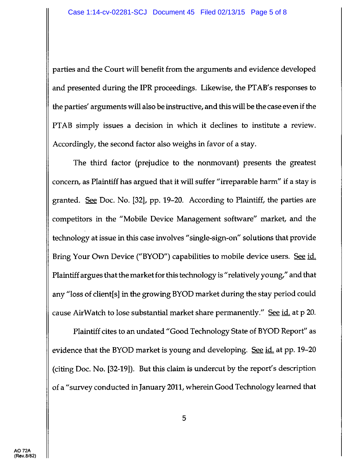parties and the Court will benefit from the arguments and evidence developed and presented during the IPR proceedings. Likewise, the PTAB's responses to the parties' arguments will also be instructive, and this will be the case even if the PTAB simply issues a decision in which it declines to institute a review. Accordingly, the second factor also weighs in favor of a stay.

The third factor (prejudice to the nonmovant) presents the greatest concern, as Plaintiff has argued that it will suffer "irreparable harm" if a stay is granted. See Doc. No. [32], pp. 19-20. According to Plaintiff, the parties are competitors in the "Mobile Device Management software" market, and the technology at issue in this case involves "single-sigr-on" solutions that provide Bring Your Own Device ("BYOD") capabilities to mobile device users. See id. Plaintiff argues that the market for this technology is "relatively young," and that any "loss of client[s] in the growing BYOD market during the stay period could cause AirWatch to lose substantial market share permanently." See id. at p 20.

Plaintiff cites to an undated "Good Technology State of BYOD Report" as evidence that the BYOD market is young and developing. See id. at pp. 19-20 (citing Doc. No. [32-19]). But this claim is undercut by the report's description of a "survey conducted in January 2011^, wherein Good Technology learned that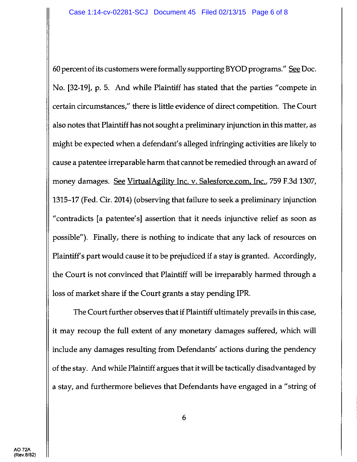60 percentof its customers were formally supporting BYOD programs." See Doc. No. [32-19], p. 5. And while Plaintiff has stated that the parties "compete in certain circumstances," there is little evidence of direct competition. The Court also notes that Plaintiff has not sought a preliminary injunction in this matter, as might be expected when a defendant's alleged infringing activities are likely to cause a patentee irreparable harm that cannot be remedied through an award of money damages. See VirtualAgility Inc. v. Salesforce.com, Inc., 759 F.3d 1307, 1315-17 (Fed. Cir. 2014) (observing that failure to seek a preliminary injunction "contradicts [a patentee's] assertion that it needs injunctive relief as soon as possible"). Finally, there is nothing to indicate that any lack of resources on Plaintiff's part would cause it to be prejudiced if a stay is granted. Accordingly, the Court is not convinced that Plaintiff will be irreparably harmed through a loss of market share if the Court grants a stay pending IPR.

The Court further observes that if Plaintiff ultimately prevails in this case, it may recoup the full extent of any monetary damages suffered, which will include any damages resulting from Defendants' actions during the pendency of the stay. And while Plaintiff argues that it will be tactically disadvantaged by a stay, and furthermore believes that Defendants have engaged in a "string of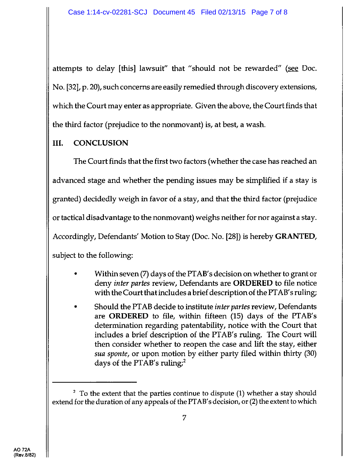attempts to delay [this] lawsuit" that "should not be rewarded" (see Doc. No. [32], p. 20), such concerns are easily remedied through discovery extensions, which the Court may enter as appropriate. Given the above, the Court finds that the third factor (prejudice to the nonmovant) is, at best, a wash.

## UI. CONCLUSION

The Court finds that the first two factors (whether the case has reached an advanced stage and whether the pending issues may be simplified if a stay is granted) decidedly weigh in favor of a stay, and that the third factor (prejudice or tactical disadvantage to the nonmovant) weighs neither for nor against a stay. Accordingly, Defendants' Motion to Stay (Doc. No. [28]) is hereby GRANTED, subject to the following:

- . Within seven (7) days of the PTAB's decision on whether to grant or deny *inter partes* review, Defendants are **ORDERED** to file notice with the Court that includes a brief description of the PTAB's ruling;
- Should the PTAB decide to institute *inter partes* review, Defendants are ORDERED to file, within fifteen (15) days of the PTAB's determination regarding patentability, notice with the Court that includes a brief description of the PTAB's ruling. The Court will then consider whether to reopen the case and lift the stay, either sua sponte, or upon motion by either party filed within thirty (30) days of the PTAB's ruling; $^2$

 $<sup>2</sup>$  To the extent that the parties continue to dispute (1) whether a stay should</sup> extend for the duration of any appeals of the PTAB's decision, or (2) the extent to which